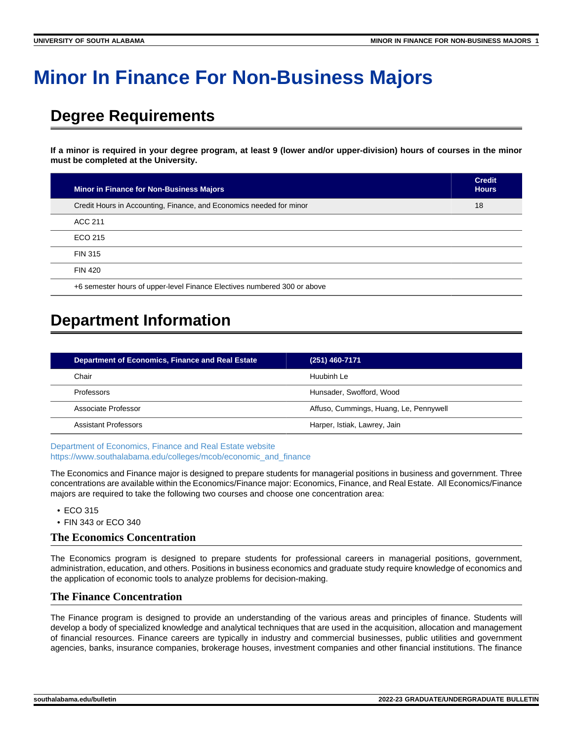# **Minor In Finance For Non-Business Majors**

## **Degree Requirements**

**If a minor is required in your degree program, at least 9 (lower and/or upper-division) hours of courses in the minor must be completed at the University.**

| <b>Minor in Finance for Non-Business Majors</b>                          | <b>Credit</b><br><b>Hours</b> |
|--------------------------------------------------------------------------|-------------------------------|
| Credit Hours in Accounting, Finance, and Economics needed for minor      | 18                            |
| ACC 211                                                                  |                               |
| ECO 215                                                                  |                               |
| <b>FIN 315</b>                                                           |                               |
| <b>FIN 420</b>                                                           |                               |
| +6 semester hours of upper-level Finance Electives numbered 300 or above |                               |

## **Department Information**

| <b>Department of Economics, Finance and Real Estate</b> | $(251)$ 460-7171                       |
|---------------------------------------------------------|----------------------------------------|
| Chair                                                   | Huubinh Le                             |
| Professors                                              | Hunsader, Swofford, Wood               |
| Associate Professor                                     | Affuso, Cummings, Huang, Le, Pennywell |
| Assistant Professors                                    | Harper, Istiak, Lawrey, Jain           |

[Department of Economics, Finance and Real Estate website](https://www.southalabama.edu/colleges/mcob/economic_and_finance/) [https://www.southalabama.edu/colleges/mcob/economic\\_and\\_finance](https://www.southalabama.edu/colleges/mcob/economic_and_finance)

The Economics and Finance major is designed to prepare students for managerial positions in business and government. Three concentrations are available within the Economics/Finance major: Economics, Finance, and Real Estate. All Economics/Finance majors are required to take the following two courses and choose one concentration area:

- ECO 315
- FIN 343 or ECO 340

#### **The Economics Concentration**

The Economics program is designed to prepare students for professional careers in managerial positions, government, administration, education, and others. Positions in business economics and graduate study require knowledge of economics and the application of economic tools to analyze problems for decision-making.

#### **The Finance Concentration**

The Finance program is designed to provide an understanding of the various areas and principles of finance. Students will develop a body of specialized knowledge and analytical techniques that are used in the acquisition, allocation and management of financial resources. Finance careers are typically in industry and commercial businesses, public utilities and government agencies, banks, insurance companies, brokerage houses, investment companies and other financial institutions. The finance